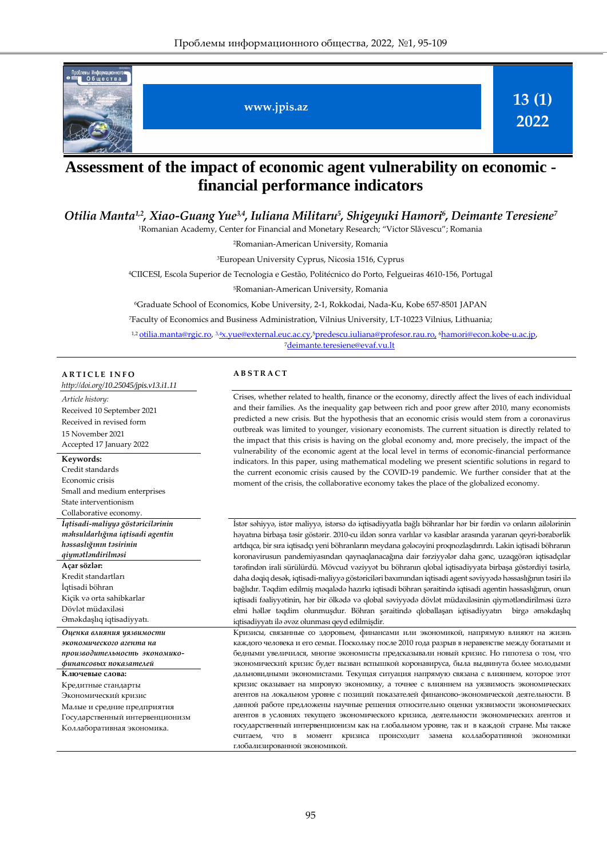

# **Assessment of the impact of economic agent vulnerability on economic financial performance indicators**

*Otilia Manta1,2, Xiao-Guang Yue3,4 , Iuliana Militaru<sup>5</sup> , Shigeyuki Hamori<sup>6</sup> , Deimante Teresiene<sup>7</sup>*

<sup>1</sup>Romanian Academy, Center for Financial and Monetary Research; "Victor Slăvescu"; Romania

<sup>2</sup>Romanian-American University, Romania

<sup>3</sup>European University Cyprus, Nicosia 1516, Cyprus

<sup>4</sup>CIICESI, Escola Superior de Tecnologia e Gestão, Politécnico do Porto, Felgueiras 4610-156, Portugal

<sup>5</sup>Romanian-American University, Romania

<sup>6</sup>Graduate School of Economics, Kobe University, 2-1, Rokkodai, Nada-Ku, Kobe 657-8501 JAPAN

<sup>7</sup>Faculty of Economics and Business Administration, Vilnius University, LT-10223 Vilnius, Lithuania;

<sup>1,2</sup> <u>otilia.manta@rgic.ro</u>, <sup>3,4</sup>[x.yue@external.euc.ac.cy,](mailto:3,4x.yue@external.euc.ac.cy)<sup>s</sup>[predescu.iuliana@profesor.rau.ro,](mailto:5predescu.iuliana@profesor.rau.ro) <sup>6</sup>hamori@econ.kobe-u.ac.jp, <sup>7</sup>[deimante.teresiene@evaf.vu.lt](mailto:deimante.teresiene@evaf.vu.lt)

#### **A R T I C L E I N F O**

*http://doi.org/10.25045/jpis.v13.i1.11 Article history:*  Received 10 September 2021 Received in revised form 15 November 2021 Accepted 17 January 2022

#### **Keywords:**

Credit standards Economic crisis Small and medium enterprises State interventionism Collaborative economy. *İqtisadi-maliyyə göstəricilərinin məhsuldarlığına iqtisadi agentin həssaslığının təsirinin qiymətləndirilməsi* **Açar sözlər:**  Kredit standartları İqtisadi böhran Kiçik və orta sahibkarlar Dövlət müdaxiləsi Əməkdaşlıq iqtisadiyyatı. *Оценка влияния уязвимости экономического агента на производительность экономикофинансовых показателей* **Ключевые слова:**  Кредитные стандарты Экономический кризис Малые и средние предприятия Государственный интервенционизм Коллаборативная экономика.

#### **A B S T R A C T**

Crises, whether related to health, finance or the economy, directly affect the lives of each individual and their families. As the inequality gap between rich and poor grew after 2010, many economists predicted a new crisis. But the hypothesis that an economic crisis would stem from a coronavirus outbreak was limited to younger, visionary economists. The current situation is directly related to the impact that this crisis is having on the global economy and, more precisely, the impact of the vulnerability of the economic agent at the local level in terms of economic-financial performance indicators. In this paper, using mathematical modeling we present scientific solutions in regard to the current economic crisis caused by the COVID-19 pandemic. We further consider that at the moment of the crisis, the collaborative economy takes the place of the globalized economy.

İstər səhiyyə, istər maliyyə, istərsə də iqtisadiyyatla bağlı böhranlar hər bir fərdin və onların ailələrinin həyatına birbaşa təsir göstərir. 2010-cu ildən sonra varlılar və kasıblar arasında yaranan qeyri-bərabərlik artdıqca, bir sıra iqtisadçı yeni böhranların meydana gələcəyini proqnozlaşdırırdı. Lakin iqtisadi böhranın koronavirusun pandemiyasından qaynaqlanacağına dair fərziyyələr daha gənc, uzaqgörən iqtisadçılar tərəfindən irali sürülürdü. Mövcud vəziyyət bu böhranın qlobal iqtisadiyyata birbaşa göstərdiyi təsirlə, daha dəqiq desək, iqtisadi-maliyyə göstəriciləri baxımından iqtisadi agent səviyyədə həssaslığının təsiri ilə bağlıdır. Təqdim edilmiş məqalədə hazırkı iqtisadi böhran şəraitində iqtisadi agentin həssaslığının, onun iqtisadi fəaliyyətinin, hər bir ölkədə və qlobal səviyyədə dövlət müdaxiləsinin qiymətləndirilməsi üzrə elmi həllər təqdim olunmuşdur. Böhran şəraitində qloballaşan iqtisadiyyatın birgə əməkdaşlıq iqtisadiyyatı ilə əvəz olunması qeyd edilmişdir.

Кризисы, связанные со здоровьем, финансами или экономикой, напрямую влияют на жизнь каждого человека и его семьи. Поскольку после 2010 года разрыв в неравенстве между богатыми и бедными увеличился, многие экономисты предсказывали новый кризис. Но гипотеза о том, что экономический кризис будет вызван вспышкой коронавируса, была выдвинута более молодыми дальновидными экономистами. Текущая ситуация напрямую связана с влиянием, которое этот кризис оказывает на мировую экономику, а точнее с влиянием на уязвимость экономических агентов на локальном уровне с позиций показателей финансово-экономической деятельности. В данной работе предложены научные решения относительно оценки уязвимости экономических агентов в условиях текущего экономического кризиса, деятельности экономических агентов и государственный интервенционизм как на глобальном уровне, так и в каждой стране. Мы также считаем, что в момент кризиса происходит замена коллаборативной экономики глобализированной экономикой.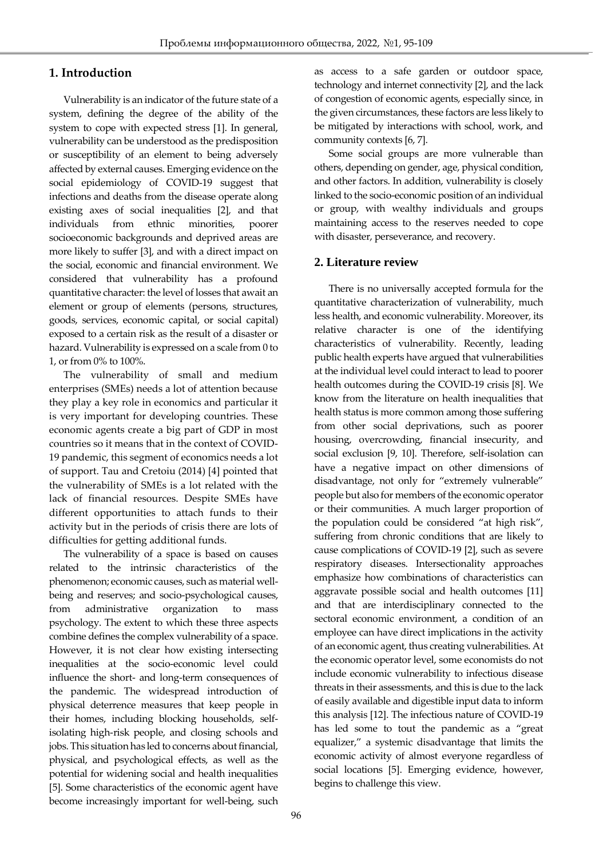## **1. Introduction**

Vulnerability is an indicator of the future state of a system, defining the degree of the ability of the system to cope with expected stress [1]. In general, vulnerability can be understood as the predisposition or susceptibility of an element to being adversely affected by external causes. Emerging evidence on the social epidemiology of COVID-19 suggest that infections and deaths from the disease operate along existing axes of social inequalities [2], and that individuals from ethnic minorities, poorer socioeconomic backgrounds and deprived areas are more likely to suffer [3], and with a direct impact on the social, economic and financial environment. We considered that vulnerability has a profound quantitative character: the level of losses that await an element or group of elements (persons, structures, goods, services, economic capital, or social capital) exposed to a certain risk as the result of a disaster or hazard. Vulnerability is expressed on a scale from 0 to 1, or from 0% to 100%.

The vulnerability of small and medium enterprises (SMEs) needs a lot of attention because they play a key role in economics and particular it is very important for developing countries. These economic agents create a big part of GDP in most countries so it means that in the context of COVID-19 pandemic, this segment of economics needs a lot of support. Tau and Cretoiu (2014) [4] pointed that the vulnerability of SMEs is a lot related with the lack of financial resources. Despite SMEs have different opportunities to attach funds to their activity but in the periods of crisis there are lots of difficulties for getting additional funds.

The vulnerability of a space is based on causes related to the intrinsic characteristics of the phenomenon; economic causes, such as material wellbeing and reserves; and socio-psychological causes, from administrative organization to mass psychology. The extent to which these three aspects combine defines the complex vulnerability of a space. However, it is not clear how existing intersecting inequalities at the socio-economic level could influence the short- and long-term consequences of the pandemic. The widespread introduction of physical deterrence measures that keep people in their homes, including blocking households, selfisolating high-risk people, and closing schools and jobs. This situation has led to concerns about financial, physical, and psychological effects, as well as the potential for widening social and health inequalities [5]. Some characteristics of the economic agent have become increasingly important for well-being, such as access to a safe garden or outdoor space, technology and internet connectivity [2], and the lack of congestion of economic agents, especially since, in the given circumstances, these factors are less likely to be mitigated by interactions with school, work, and community contexts [6, 7].

Some social groups are more vulnerable than others, depending on gender, age, physical condition, and other factors. In addition, vulnerability is closely linked to the socio-economic position of an individual or group, with wealthy individuals and groups maintaining access to the reserves needed to cope with disaster, perseverance, and recovery.

### **2. Literature review**

There is no universally accepted formula for the quantitative characterization of vulnerability, much less health, and economic vulnerability. Moreover, its relative character is one of the identifying characteristics of vulnerability. Recently, leading public health experts have argued that vulnerabilities at the individual level could interact to lead to poorer health outcomes during the COVID-19 crisis [8]. We know from the literature on health inequalities that health status is more common among those suffering from other social deprivations, such as poorer housing, overcrowding, financial insecurity, and social exclusion [9, 10]. Therefore, self-isolation can have a negative impact on other dimensions of disadvantage, not only for "extremely vulnerable" people but also for members of the economic operator or their communities. A much larger proportion of the population could be considered "at high risk", suffering from chronic conditions that are likely to cause complications of COVID-19 [2], such as severe respiratory diseases. Intersectionality approaches emphasize how combinations of characteristics can aggravate possible social and health outcomes [11] and that are interdisciplinary connected to the sectoral economic environment, a condition of an employee can have direct implications in the activity of an economic agent, thus creating vulnerabilities. At the economic operator level, some economists do not include economic vulnerability to infectious disease threats in their assessments, and this is due to the lack of easily available and digestible input data to inform this analysis [12]. The infectious nature of COVID-19 has led some to tout the pandemic as a "great equalizer," a systemic disadvantage that limits the economic activity of almost everyone regardless of social locations [5]. Emerging evidence, however, begins to challenge this view.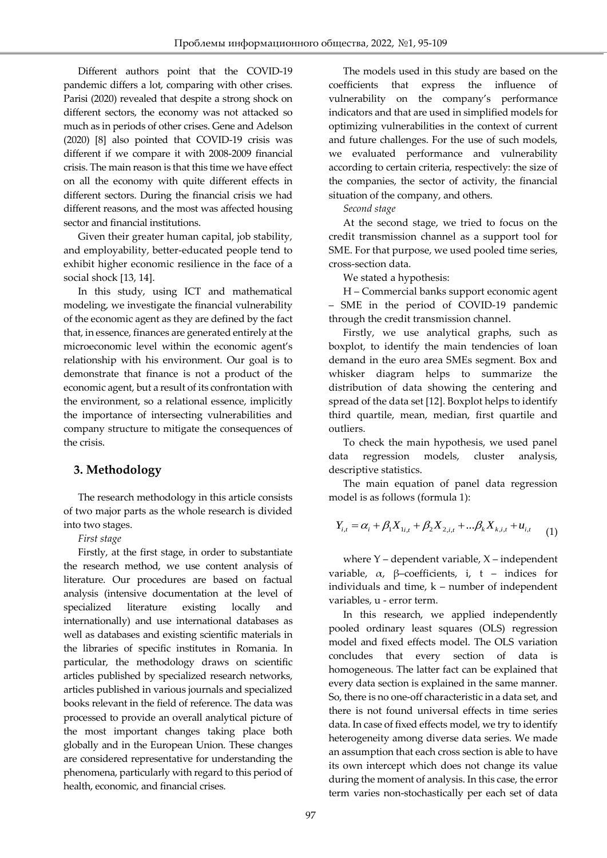Different authors point that the COVID-19 pandemic differs a lot, comparing with other crises. Parisi (2020) revealed that despite a strong shock on different sectors, the economy was not attacked so much as in periods of other crises. Gene and Adelson (2020) [8] also pointed that COVID-19 crisis was different if we compare it with 2008-2009 financial crisis. The main reason is that this time we have effect on all the economy with quite different effects in different sectors. During the financial crisis we had different reasons, and the most was affected housing sector and financial institutions.

Given their greater human capital, job stability, and employability, better-educated people tend to exhibit higher economic resilience in the face of a social shock [13, 14].

In this study, using ICT and mathematical modeling, we investigate the financial vulnerability of the economic agent as they are defined by the fact that, in essence, finances are generated entirely at the microeconomic level within the economic agent's relationship with his environment. Our goal is to demonstrate that finance is not a product of the economic agent, but a result of its confrontation with the environment, so a relational essence, implicitly the importance of intersecting vulnerabilities and company structure to mitigate the consequences of the crisis.

### **3. Methodology**

The research methodology in this article consists of two major parts as the whole research is divided into two stages.

#### *First stage*

Firstly, at the first stage, in order to substantiate the research method, we use content analysis of literature. Our procedures are based on factual analysis (intensive documentation at the level of specialized literature existing locally and internationally) and use international databases as well as databases and existing scientific materials in the libraries of specific institutes in Romania. In particular, the methodology draws on scientific articles published by specialized research networks, articles published in various journals and specialized books relevant in the field of reference. The data was processed to provide an overall analytical picture of the most important changes taking place both globally and in the European Union. These changes are considered representative for understanding the phenomena, particularly with regard to this period of health, economic, and financial crises.

The models used in this study are based on the coefficients that express the influence of vulnerability on the company's performance indicators and that are used in simplified models for optimizing vulnerabilities in the context of current and future challenges. For the use of such models, we evaluated performance and vulnerability according to certain criteria, respectively: the size of the companies, the sector of activity, the financial situation of the company, and others.

### *Second stage*

At the second stage, we tried to focus on the credit transmission channel as a support tool for SME. For that purpose, we used pooled time series, cross-section data.

We stated a hypothesis:

H – Commercial banks support economic agent – SME in the period of COVID-19 pandemic through the credit transmission channel.

Firstly, we use analytical graphs, such as boxplot, to identify the main tendencies of loan demand in the euro area SMEs segment. Box and whisker diagram helps to summarize the distribution of data showing the centering and spread of the data set [12]. Boxplot helps to identify third quartile, mean, median, first quartile and outliers.

To check the main hypothesis, we used panel data regression models, cluster analysis, descriptive statistics.

The main equation of panel data regression model is as follows (formula 1):

$$
Y_{i,t} = \alpha_i + \beta_1 X_{1i,t} + \beta_2 X_{2,i,t} + ... \beta_k X_{k,i,t} + u_{i,t}
$$
 (1)

where  $Y$  – dependent variable,  $X$  – independent variable,  $\alpha$ , β-coefficients, i, t - indices for individuals and time, k – number of independent variables, u - error term.

In this research, we applied independently pooled ordinary least squares (OLS) regression model and fixed effects model. The OLS variation concludes that every section of data is homogeneous. The latter fact can be explained that every data section is explained in the same manner. So, there is no one-off characteristic in a data set, and there is not found universal effects in time series data. In case of fixed effects model, we try to identify heterogeneity among diverse data series. We made an assumption that each cross section is able to have its own intercept which does not change its value during the moment of analysis. In this case, the error term varies non-stochastically per each set of data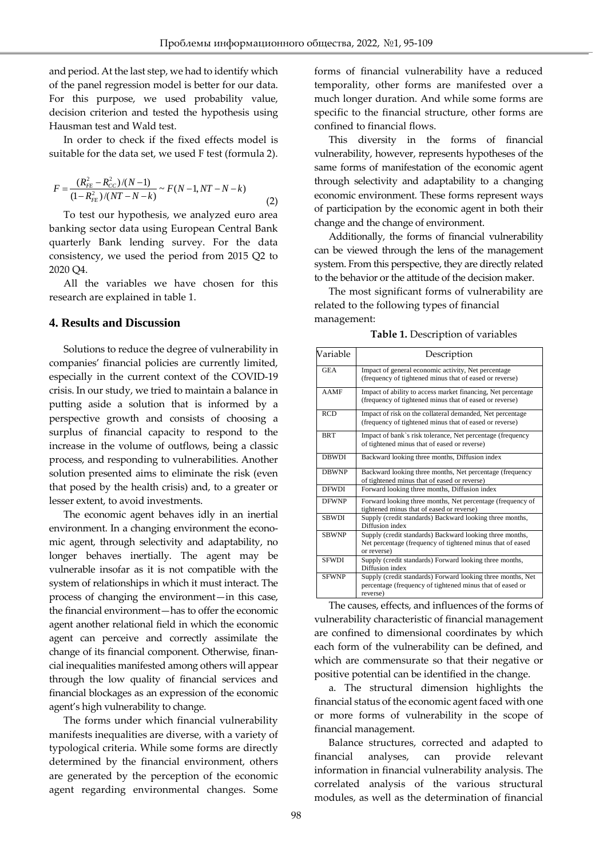and period. At the last step, we had to identify which of the panel regression model is better for our data. For this purpose, we used probability value, decision criterion and tested the hypothesis using Hausman test and Wald test.

In order to check if the fixed effects model is suitable for the data set, we used F test (formula 2).

$$
F = \frac{(R_{FE}^2 - R_{CC}^2)/(N-1)}{(1 - R_{FE}^2)/(NT - N - k)} \sim F(N-1, NT - N - k)
$$
\n(2)

To test our hypothesis, we analyzed euro area banking sector data using European Central Bank quarterly Bank lending survey. For the data consistency, we used the period from 2015 Q2 to 2020 Q4.

All the variables we have chosen for this research are explained in table 1.

#### **4. Results and Discussion**

Solutions to reduce the degree of vulnerability in companies' financial policies are currently limited, especially in the current context of the COVID-19 crisis. In our study, we tried to maintain a balance in putting aside a solution that is informed by a perspective growth and consists of choosing a surplus of financial capacity to respond to the increase in the volume of outflows, being a classic process, and responding to vulnerabilities. Another solution presented aims to eliminate the risk (even that posed by the health crisis) and, to a greater or lesser extent, to avoid investments.

The economic agent behaves idly in an inertial environment. In a changing environment the economic agent, through selectivity and adaptability, no longer behaves inertially. The agent may be vulnerable insofar as it is not compatible with the system of relationships in which it must interact. The process of changing the environment—in this case, the financial environment—has to offer the economic agent another relational field in which the economic agent can perceive and correctly assimilate the change of its financial component. Otherwise, financial inequalities manifested among others will appear through the low quality of financial services and financial blockages as an expression of the economic agent's high vulnerability to change.

The forms under which financial vulnerability manifests inequalities are diverse, with a variety of typological criteria. While some forms are directly determined by the financial environment, others are generated by the perception of the economic agent regarding environmental changes. Some forms of financial vulnerability have a reduced temporality, other forms are manifested over a much longer duration. And while some forms are specific to the financial structure, other forms are confined to financial flows.

This diversity in the forms of financial vulnerability, however, represents hypotheses of the same forms of manifestation of the economic agent through selectivity and adaptability to a changing economic environment. These forms represent ways of participation by the economic agent in both their change and the change of environment.

Additionally, the forms of financial vulnerability can be viewed through the lens of the management system. From this perspective, they are directly related to the behavior or the attitude of the decision maker.

The most significant forms of vulnerability are related to the following types of financial management:

**Table 1.** Description of variables

| Variable     | Description                                                                                                                           |
|--------------|---------------------------------------------------------------------------------------------------------------------------------------|
| <b>GEA</b>   | Impact of general economic activity, Net percentage<br>(frequency of tightened minus that of eased or reverse)                        |
| <b>AAMF</b>  | Impact of ability to access market financing, Net percentage<br>(frequency of tightened minus that of eased or reverse)               |
| <b>RCD</b>   | Impact of risk on the collateral demanded, Net percentage<br>(frequency of tightened minus that of eased or reverse)                  |
| <b>BRT</b>   | Impact of bank's risk tolerance, Net percentage (frequency<br>of tightened minus that of eased or reverse)                            |
| <b>DBWDI</b> | Backward looking three months, Diffusion index                                                                                        |
| <b>DRWNP</b> | Backward looking three months, Net percentage (frequency<br>of tightened minus that of eased or reverse)                              |
| <b>DFWDI</b> | Forward looking three months, Diffusion index                                                                                         |
| <b>DFWNP</b> | Forward looking three months, Net percentage (frequency of<br>tightened minus that of eased or reverse)                               |
| <b>SBWDI</b> | Supply (credit standards) Backward looking three months,<br>Diffusion index                                                           |
| <b>SBWNP</b> | Supply (credit standards) Backward looking three months,<br>Net percentage (frequency of tightened minus that of eased<br>or reverse) |
| <b>SFWDI</b> | Supply (credit standards) Forward looking three months,<br>Diffusion index                                                            |
| <b>SFWNP</b> | Supply (credit standards) Forward looking three months, Net<br>percentage (frequency of tightened minus that of eased or<br>reverse)  |

The causes, effects, and influences of the forms of vulnerability characteristic of financial management are confined to dimensional coordinates by which each form of the vulnerability can be defined, and which are commensurate so that their negative or positive potential can be identified in the change.

a. The structural dimension highlights the financial status of the economic agent faced with one or more forms of vulnerability in the scope of financial management.

Balance structures, corrected and adapted to financial analyses, can provide relevant information in financial vulnerability analysis. The correlated analysis of the various structural modules, as well as the determination of financial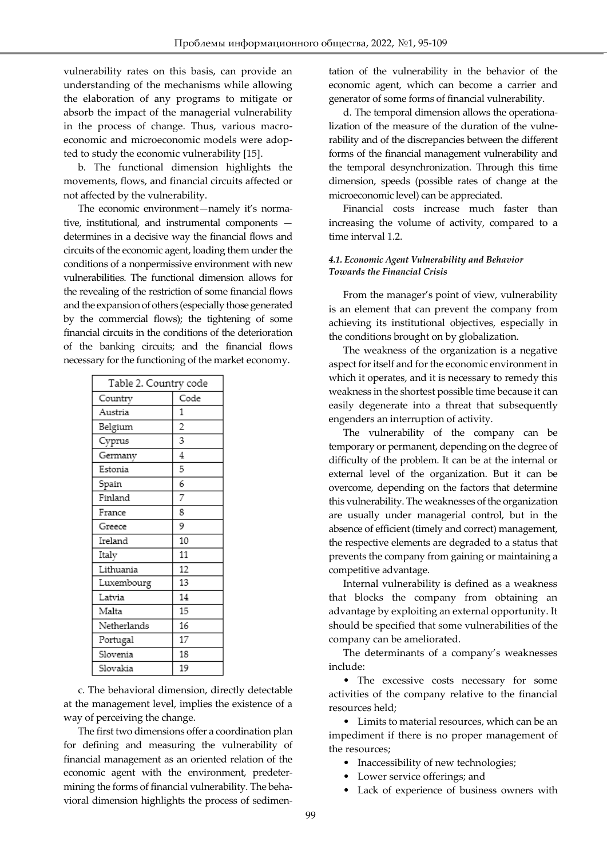vulnerability rates on this basis, can provide an understanding of the mechanisms while allowing the elaboration of any programs to mitigate or absorb the impact of the managerial vulnerability in the process of change. Thus, various macroeconomic and microeconomic models were adopted to study the economic vulnerability [15].

b. The functional dimension highlights the movements, flows, and financial circuits affected or not affected by the vulnerability.

The economic environment—namely it's normative, institutional, and instrumental components determines in a decisive way the financial flows and circuits of the economic agent, loading them under the conditions of a nonpermissive environment with new vulnerabilities. The functional dimension allows for the revealing of the restriction of some financial flows and the expansion of others (especially those generated by the commercial flows); the tightening of some financial circuits in the conditions of the deterioration of the banking circuits; and the financial flows necessary for the functioning of the market economy.

| Table 2. Country code |                |  |  |
|-----------------------|----------------|--|--|
| Country               | Code           |  |  |
| Austria               | 1              |  |  |
| Belgium               | $\overline{c}$ |  |  |
| Cyprus                | 3              |  |  |
| Germany               | 4              |  |  |
| Estonia               | 5              |  |  |
| Spain                 | 6              |  |  |
| Finland               | 7              |  |  |
| France                | 8              |  |  |
| Greece                | 9              |  |  |
| Ireland               | 10             |  |  |
| Italy                 | 11             |  |  |
| Lithuania             | 12             |  |  |
| Luxembourg            | 13             |  |  |
| Latvia                | 14             |  |  |
| Malta                 | 15             |  |  |
| Netherlands           | 16             |  |  |
| Portugal              | 17             |  |  |
| Slovenia              | 18             |  |  |
| Slovakia              | 19             |  |  |

c. The behavioral dimension, directly detectable at the management level, implies the existence of a way of perceiving the change.

The first two dimensions offer a coordination plan for defining and measuring the vulnerability of financial management as an oriented relation of the economic agent with the environment, predetermining the forms of financial vulnerability. The behavioral dimension highlights the process of sedimen-

tation of the vulnerability in the behavior of the economic agent, which can become a carrier and generator of some forms of financial vulnerability.

d. The temporal dimension allows the operationalization of the measure of the duration of the vulnerability and of the discrepancies between the different forms of the financial management vulnerability and the temporal desynchronization. Through this time dimension, speeds (possible rates of change at the microeconomic level) can be appreciated.

Financial costs increase much faster than increasing the volume of activity, compared to a time interval 1.2.

#### *4.1. Economic Agent Vulnerability and Behavior Towards the Financial Crisis*

From the manager's point of view, vulnerability is an element that can prevent the company from achieving its institutional objectives, especially in the conditions brought on by globalization.

The weakness of the organization is a negative aspect for itself and for the economic environment in which it operates, and it is necessary to remedy this weakness in the shortest possible time because it can easily degenerate into a threat that subsequently engenders an interruption of activity.

The vulnerability of the company can be temporary or permanent, depending on the degree of difficulty of the problem. It can be at the internal or external level of the organization. But it can be overcome, depending on the factors that determine this vulnerability. The weaknesses of the organization are usually under managerial control, but in the absence of efficient (timely and correct) management, the respective elements are degraded to a status that prevents the company from gaining or maintaining a competitive advantage.

Internal vulnerability is defined as a weakness that blocks the company from obtaining an advantage by exploiting an external opportunity. It should be specified that some vulnerabilities of the company can be ameliorated.

The determinants of a company's weaknesses include:

• The excessive costs necessary for some activities of the company relative to the financial resources held;

• Limits to material resources, which can be an impediment if there is no proper management of the resources;

- Inaccessibility of new technologies;
- Lower service offerings; and
- Lack of experience of business owners with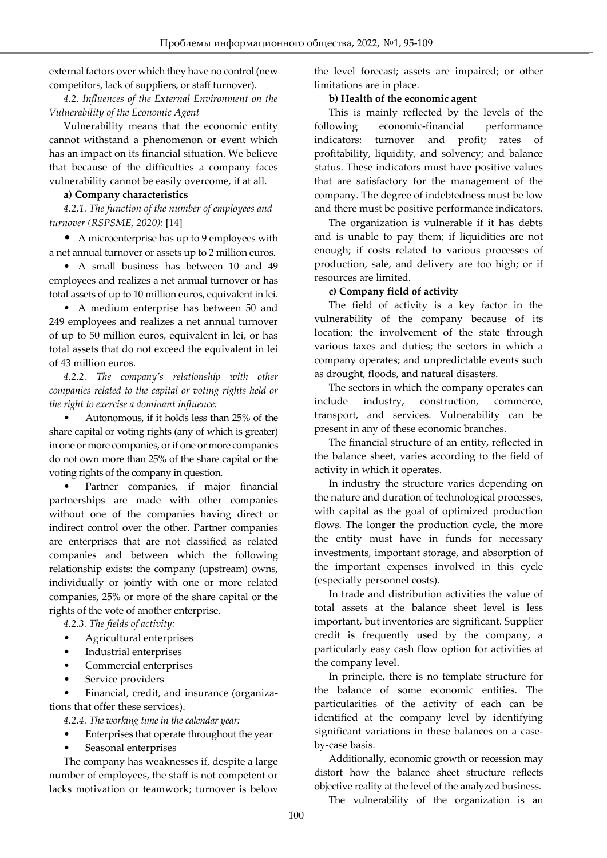external factors over which they have no control (new competitors, lack of suppliers, or staff turnover).

*4.2. Influences of the External Environment on the Vulnerability of the Economic Agent*

Vulnerability means that the economic entity cannot withstand a phenomenon or event which has an impact on its financial situation. We believe that because of the difficulties a company faces vulnerability cannot be easily overcome, if at all.

#### **a) Company characteristics**

*4.2.1. The function of the number of employees and turnover (RSPSME, 2020):* [14]

• A microenterprise has up to 9 employees with a net annual turnover or assets up to 2 million euros.

• A small business has between 10 and 49 employees and realizes a net annual turnover or has total assets of up to 10 million euros, equivalent in lei.

• A medium enterprise has between 50 and 249 employees and realizes a net annual turnover of up to 50 million euros, equivalent in lei, or has total assets that do not exceed the equivalent in lei of 43 million euros.

*4.2.2. The company's relationship with other companies related to the capital or voting rights held or the right to exercise a dominant influence:*

• Autonomous, if it holds less than 25% of the share capital or voting rights (any of which is greater) in one or more companies, or if one or more companies do not own more than 25% of the share capital or the voting rights of the company in question.

Partner companies, if major financial partnerships are made with other companies without one of the companies having direct or indirect control over the other. Partner companies are enterprises that are not classified as related companies and between which the following relationship exists: the company (upstream) owns, individually or jointly with one or more related companies, 25% or more of the share capital or the rights of the vote of another enterprise.

*4.2.3. The fields of activity:*

- Agricultural enterprises
- Industrial enterprises
- Commercial enterprises
- Service providers

• Financial, credit, and insurance (organizations that offer these services).

*4.2.4. The working time in the calendar year:*

- Enterprises that operate throughout the year
- Seasonal enterprises

The company has weaknesses if, despite a large number of employees, the staff is not competent or lacks motivation or teamwork; turnover is below the level forecast; assets are impaired; or other limitations are in place.

#### **b) Health of the economic agent**

This is mainly reflected by the levels of the following economic-financial performance indicators: turnover and profit; rates of profitability, liquidity, and solvency; and balance status. These indicators must have positive values that are satisfactory for the management of the company. The degree of indebtedness must be low and there must be positive performance indicators.

The organization is vulnerable if it has debts and is unable to pay them; if liquidities are not enough; if costs related to various processes of production, sale, and delivery are too high; or if resources are limited.

#### **c) Company field of activity**

The field of activity is a key factor in the vulnerability of the company because of its location; the involvement of the state through various taxes and duties; the sectors in which a company operates; and unpredictable events such as drought, floods, and natural disasters.

The sectors in which the company operates can include industry, construction, commerce, transport, and services. Vulnerability can be present in any of these economic branches.

The financial structure of an entity, reflected in the balance sheet, varies according to the field of activity in which it operates.

In industry the structure varies depending on the nature and duration of technological processes, with capital as the goal of optimized production flows. The longer the production cycle, the more the entity must have in funds for necessary investments, important storage, and absorption of the important expenses involved in this cycle (especially personnel costs).

In trade and distribution activities the value of total assets at the balance sheet level is less important, but inventories are significant. Supplier credit is frequently used by the company, a particularly easy cash flow option for activities at the company level.

In principle, there is no template structure for the balance of some economic entities. The particularities of the activity of each can be identified at the company level by identifying significant variations in these balances on a caseby-case basis.

Additionally, economic growth or recession may distort how the balance sheet structure reflects objective reality at the level of the analyzed business.

The vulnerability of the organization is an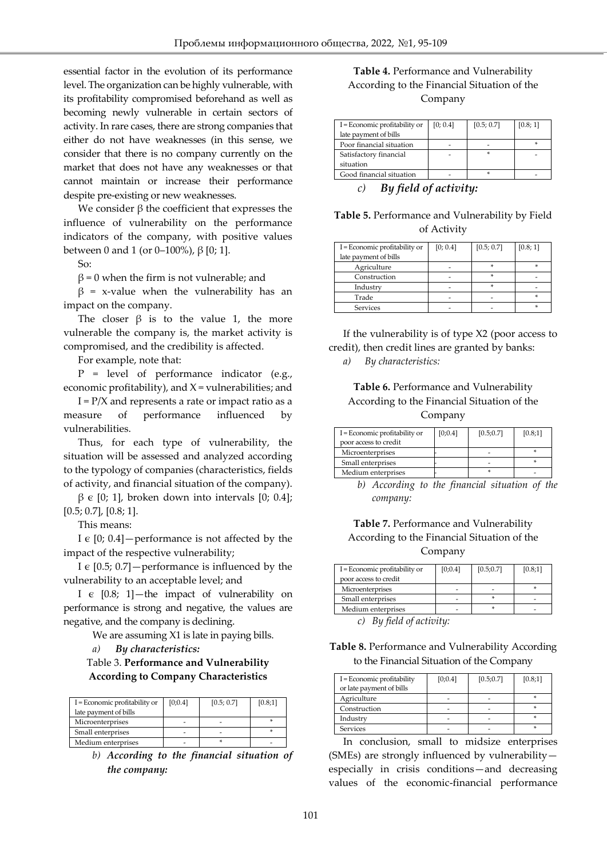essential factor in the evolution of its performance level. The organization can be highly vulnerable, with its profitability compromised beforehand as well as becoming newly vulnerable in certain sectors of activity. In rare cases, there are strong companies that either do not have weaknesses (in this sense, we consider that there is no company currently on the market that does not have any weaknesses or that cannot maintain or increase their performance despite pre-existing or new weaknesses.

We consider  $β$  the coefficient that expresses the influence of vulnerability on the performance indicators of the company, with positive values between 0 and 1 (or 0–100%),  $β$  [0; 1].

So:

 $β = 0$  when the firm is not vulnerable; and

 $β = x-value$  when the vulnerability has an impact on the company.

The closer  $\beta$  is to the value 1, the more vulnerable the company is, the market activity is compromised, and the credibility is affected.

For example, note that:

 $P = level of performance indicator (e.g.,)$ economic profitability), and  $X =$  vulnerabilities; and

 $I = P/X$  and represents a rate or impact ratio as a measure of performance influenced by vulnerabilities.

Thus, for each type of vulnerability, the situation will be assessed and analyzed according to the typology of companies (characteristics, fields of activity, and financial situation of the company).

 $β ∈ [0; 1]$ , broken down into intervals [0; 0.4]; [0.5; 0.7], [0.8; 1].

This means:

I  $\epsilon$  [0; 0.4] – performance is not affected by the impact of the respective vulnerability;

I  $\epsilon$  [0.5; 0.7] – performance is influenced by the vulnerability to an acceptable level; and

I  $\epsilon$  [0.8; 1]—the impact of vulnerability on performance is strong and negative, the values are negative, and the company is declining.

We are assuming X1 is late in paying bills.

*a) By characteristics:*

Table 3. **Performance and Vulnerability According to Company Characteristics**

| I = Economic profitability or | [0:0.4] | [0.5; 0.7] | [0.8;1] |
|-------------------------------|---------|------------|---------|
| late payment of bills         |         |            |         |
| Microenterprises              |         |            |         |
| Small enterprises             |         |            |         |
| Medium enterprises            |         |            |         |

*b) According to the financial situation of the company:*

### **Table 4.** Performance and Vulnerability According to the Financial Situation of the Company

| I = Economic profitability or<br>late payment of bills | [0; 0.4] | [0.5; 0.7] | [0.8; 1] |
|--------------------------------------------------------|----------|------------|----------|
| Poor financial situation                               |          |            |          |
| Satisfactory financial                                 |          |            |          |
| situation                                              |          |            |          |
| Good financial situation                               |          |            |          |

*c) By field of activity:*

**Table 5.** Performance and Vulnerability by Field of Activity

| I = Economic profitability or | [0; 0.4] | [0.5; 0.7] | [0.8; 1] |
|-------------------------------|----------|------------|----------|
| late payment of bills         |          |            |          |
| Agriculture                   |          | s          |          |
| Construction                  |          | ×          |          |
| Industry                      |          | ×          |          |
| Trade                         |          |            |          |
| Services                      |          |            |          |

If the vulnerability is of type X2 (poor access to credit), then credit lines are granted by banks:

*a) By characteristics:*

#### **Table 6.** Performance and Vulnerability According to the Financial Situation of the Company

| I = Economic profitability or<br>poor access to credit | [0:0.4] | [0.5; 0.7] | [0.8;1] |
|--------------------------------------------------------|---------|------------|---------|
| Microenterprises                                       |         |            |         |
| Small enterprises                                      |         |            |         |
| Medium enterprises                                     |         |            |         |

*b) According to the financial situation of the company:*

#### **Table 7.** Performance and Vulnerability According to the Financial Situation of the Company

| I = Economic profitability or | [0;0.4] | [0.5; 0.7] | [0.8;1] |
|-------------------------------|---------|------------|---------|
| poor access to credit         |         |            |         |
| Microenterprises              | ۰       |            |         |
| Small enterprises             | ۰       |            |         |
| Medium enterprises            |         |            |         |
| ____<br>$\sim$ $\sim$         |         |            |         |

*c) By field of activity:*

**Table 8.** Performance and Vulnerability According to the Financial Situation of the Company

| I = Economic profitability | [0;0.4] | [0.5; 0.7] | [0.8;1] |
|----------------------------|---------|------------|---------|
| or late payment of bills   |         |            |         |
| Agriculture                |         |            |         |
| Construction               |         |            |         |
| Industry                   |         |            |         |
| <b>Services</b>            |         |            |         |

In conclusion, small to midsize enterprises (SMEs) are strongly influenced by vulnerability especially in crisis conditions—and decreasing values of the economic-financial performance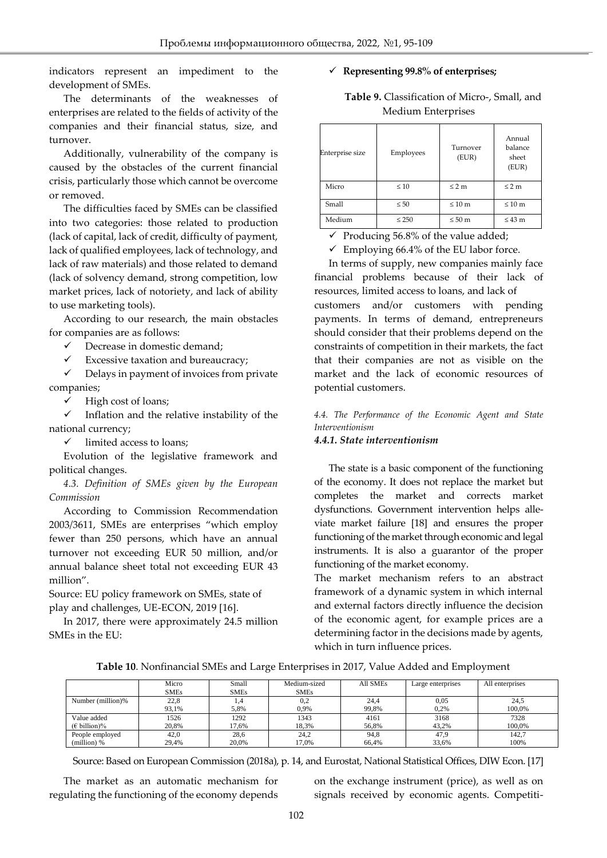indicators represent an impediment to the development of SMEs.

The determinants of the weaknesses of enterprises are related to the fields of activity of the companies and their financial status, size, and turnover.

Additionally, vulnerability of the company is caused by the obstacles of the current financial crisis, particularly those which cannot be overcome or removed.

The difficulties faced by SMEs can be classified into two categories: those related to production (lack of capital, lack of credit, difficulty of payment, lack of qualified employees, lack of technology, and lack of raw materials) and those related to demand (lack of solvency demand, strong competition, low market prices, lack of notoriety, and lack of ability to use marketing tools).

According to our research, the main obstacles for companies are as follows:

 $\checkmark$  Decrease in domestic demand;

Excessive taxation and bureaucracy;

 $\checkmark$  Delays in payment of invoices from private companies;

 $\checkmark$  High cost of loans;

 $\checkmark$  Inflation and the relative instability of the national currency;

 $\checkmark$  limited access to loans;

Evolution of the legislative framework and political changes.

*4.3. Definition of SMEs given by the European Commission*

According to Commission Recommendation 2003/3611, SMEs are enterprises "which employ fewer than 250 persons, which have an annual turnover not exceeding EUR 50 million, and/or annual balance sheet total not exceeding EUR 43 million".

Source: EU policy framework on SMEs, state of play and challenges, UE-ECON, 2019 [16].

In 2017, there were approximately 24.5 million SMEs in the EU:

#### **Representing 99.8% of enterprises;**

**Table 9.** Classification of Micro-, Small, and Medium Enterprises

| Enterprise size | Employees  | Turnover<br>(EUR) | Annual<br>balance<br>sheet<br>(EUR) |
|-----------------|------------|-------------------|-------------------------------------|
| Micro           | $\leq 10$  | $\leq 2$ m        | $\leq 2$ m                          |
| Small           | $\leq 50$  | $\leq 10$ m       | $\leq 10$ m                         |
| Medium          | $\leq 250$ | $\leq 50$ m       | $\leq 43$ m                         |

 $\checkmark$  Producing 56.8% of the value added;

 $\checkmark$  Employing 66.4% of the EU labor force.

In terms of supply, new companies mainly face financial problems because of their lack of resources, limited access to loans, and lack of customers and/or customers with pending payments. In terms of demand, entrepreneurs should consider that their problems depend on the constraints of competition in their markets, the fact that their companies are not as visible on the market and the lack of economic resources of potential customers.

*4.4. The Performance of the Economic Agent and State Interventionism*

#### *4.4.1. State interventionism*

The state is a basic component of the functioning of the economy. It does not replace the market but completes the market and corrects market dysfunctions. Government intervention helps alleviate market failure [18] and ensures the proper functioning of the market through economic and legal instruments. It is also a guarantor of the proper functioning of the market economy.

The market mechanism refers to an abstract framework of a dynamic system in which internal and external factors directly influence the decision of the economic agent, for example prices are a determining factor in the decisions made by agents, which in turn influence prices.

**Table 10**. Nonfinancial SMEs and Large Enterprises in 2017, Value Added and Employment

|                   | Micro       | Small       | Medium-sized | All SMEs | Large enterprises | All enterprises |
|-------------------|-------------|-------------|--------------|----------|-------------------|-----------------|
|                   | <b>SMEs</b> | <b>SMEs</b> | <b>SMEs</b>  |          |                   |                 |
| Number (million)% | 22,8        | 1.4         | 0,2          | 24,4     | 0.05              | 24,5            |
|                   | 93.1%       | 5,8%        | 0,9%         | 99.8%    | 0,2%              | 100.0%          |
| Value added       | 1526        | 1292        | 1343         | 4161     | 3168              | 7328            |
| $(E$ billion)%    | 20.8%       | 17.6%       | 18.3%        | 56.8%    | 43.2%             | 100.0%          |
| People employed   | 42.0        | 28,6        | 24,2         | 94,8     | 47.9              | 142,7           |
| (million) %       | 29.4%       | 20.0%       | 17.0%        | 66.4%    | 33.6%             | 100%            |

Source: Based on European Commission (2018a), p. 14, and Eurostat, National Statistical Offices, DIW Econ. [17]

The market as an automatic mechanism for regulating the functioning of the economy depends on the exchange instrument (price), as well as on signals received by economic agents. Competiti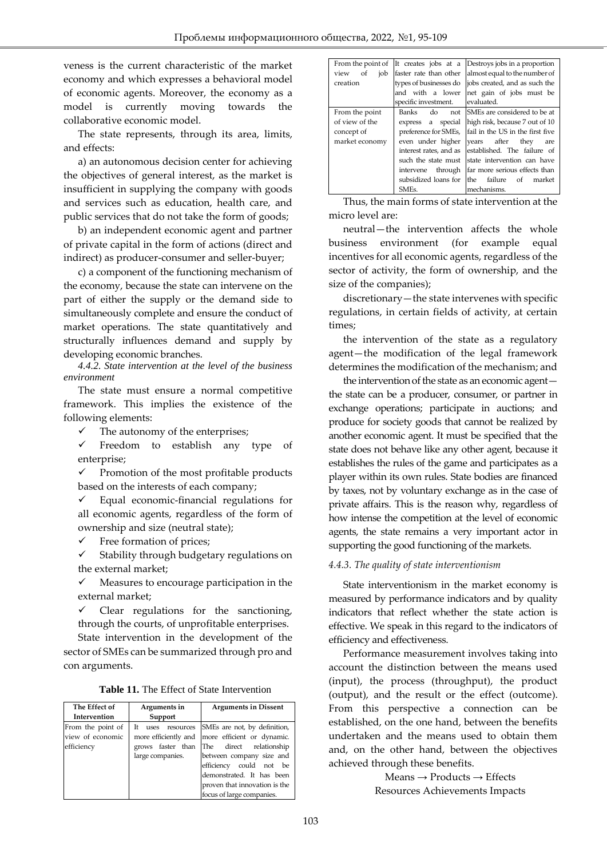veness is the current characteristic of the market economy and which expresses a behavioral model of economic agents. Moreover, the economy as a model is currently moving towards the collaborative economic model.

The state represents, through its area, limits, and effects:

a) an autonomous decision center for achieving the objectives of general interest, as the market is insufficient in supplying the company with goods and services such as education, health care, and public services that do not take the form of goods;

b) an independent economic agent and partner of private capital in the form of actions (direct and indirect) as producer-consumer and seller-buyer;

c) a component of the functioning mechanism of the economy, because the state can intervene on the part of either the supply or the demand side to simultaneously complete and ensure the conduct of market operations. The state quantitatively and structurally influences demand and supply by developing economic branches.

*4.4.2. State intervention at the level of the business environment*

The state must ensure a normal competitive framework. This implies the existence of the following elements:

 $\checkmark$  The autonomy of the enterprises;

 $\checkmark$  Freedom to establish any type of enterprise;

 $\checkmark$  Promotion of the most profitable products based on the interests of each company;

 $\checkmark$  Equal economic-financial regulations for all economic agents, regardless of the form of ownership and size (neutral state);

 $\checkmark$  Free formation of prices;

 $\checkmark$  Stability through budgetary regulations on the external market;

 $\checkmark$  Measures to encourage participation in the external market;

 $\checkmark$  Clear regulations for the sanctioning, through the courts, of unprofitable enterprises.

State intervention in the development of the sector of SMEs can be summarized through pro and con arguments.

**Table 11.** The Effect of State Intervention

| The Effect of     | Arguments in              | <b>Arguments in Dissent</b>   |
|-------------------|---------------------------|-------------------------------|
| Intervention      | Support                   |                               |
| From the point of | Tt –<br>resources<br>uses | SMEs are not, by definition,  |
| view of economic  | more efficiently and      | more efficient or dynamic.    |
| efficiency        | grows faster than         | The direct relationship       |
|                   | large companies.          | between company size and      |
|                   |                           | efficiency could not be       |
|                   |                           | demonstrated. It has been     |
|                   |                           | proven that innovation is the |
|                   |                           | focus of large companies.     |

| From the point of | It creates jobs at a      | Destroys jobs in a proportion    |
|-------------------|---------------------------|----------------------------------|
| job<br>view<br>of | faster rate than other    | almost equal to the number of    |
| creation          | types of businesses do    | jobs created, and as such the    |
|                   | and with a lower          | net gain of jobs must be         |
|                   | specific investment.      | evaluated.                       |
| From the point    | <b>Banks</b><br>do<br>not | SMEs are considered to be at     |
| of view of the    | express a special         | high risk, because 7 out of 10   |
| concept of        | preference for SMEs,      | fail in the US in the first five |
| market economy    | even under higher         | vears after<br>they<br>are       |
|                   | interest rates, and as    | established. The failure of      |
|                   | such the state must       | state intervention can have      |
|                   | through<br>intervene      | far more serious effects than    |
|                   | subsidized loans for      | failure<br>the<br>market<br>of   |
|                   | SME <sub>S</sub> .        | mechanisms.                      |

Thus, the main forms of state intervention at the micro level are:

neutral—the intervention affects the whole business environment (for example equal incentives for all economic agents, regardless of the sector of activity, the form of ownership, and the size of the companies);

discretionary—the state intervenes with specific regulations, in certain fields of activity, at certain times;

the intervention of the state as a regulatory agent—the modification of the legal framework determines the modification of the mechanism; and

the intervention of the state as an economic agent the state can be a producer, consumer, or partner in exchange operations; participate in auctions; and produce for society goods that cannot be realized by another economic agent. It must be specified that the state does not behave like any other agent, because it establishes the rules of the game and participates as a player within its own rules. State bodies are financed by taxes, not by voluntary exchange as in the case of private affairs. This is the reason why, regardless of how intense the competition at the level of economic agents, the state remains a very important actor in supporting the good functioning of the markets.

#### *4.4.3. The quality of state interventionism*

State interventionism in the market economy is measured by performance indicators and by quality indicators that reflect whether the state action is effective. We speak in this regard to the indicators of efficiency and effectiveness.

Performance measurement involves taking into account the distinction between the means used (input), the process (throughput), the product (output), and the result or the effect (outcome). From this perspective a connection can be established, on the one hand, between the benefits undertaken and the means used to obtain them and, on the other hand, between the objectives achieved through these benefits.

> $Means \rightarrow Products \rightarrow Effects$ Resources Achievements Impacts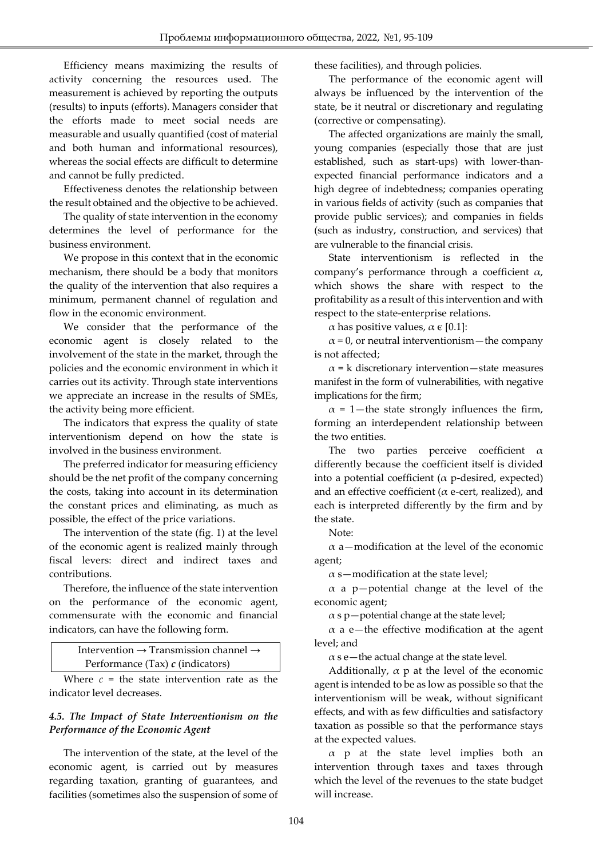Efficiency means maximizing the results of activity concerning the resources used. The measurement is achieved by reporting the outputs (results) to inputs (efforts). Managers consider that the efforts made to meet social needs are measurable and usually quantified (cost of material and both human and informational resources), whereas the social effects are difficult to determine and cannot be fully predicted.

Effectiveness denotes the relationship between the result obtained and the objective to be achieved.

The quality of state intervention in the economy determines the level of performance for the business environment.

We propose in this context that in the economic mechanism, there should be a body that monitors the quality of the intervention that also requires a minimum, permanent channel of regulation and flow in the economic environment.

We consider that the performance of the economic agent is closely related to the involvement of the state in the market, through the policies and the economic environment in which it carries out its activity. Through state interventions we appreciate an increase in the results of SMEs, the activity being more efficient.

The indicators that express the quality of state interventionism depend on how the state is involved in the business environment.

The preferred indicator for measuring efficiency should be the net profit of the company concerning the costs, taking into account in its determination the constant prices and eliminating, as much as possible, the effect of the price variations.

The intervention of the state (fig. 1) at the level of the economic agent is realized mainly through fiscal levers: direct and indirect taxes and contributions.

Therefore, the influence of the state intervention on the performance of the economic agent, commensurate with the economic and financial indicators, can have the following form.

> Intervention → Transmission channel → Performance (Tax) *c* (indicators)

Where  $c =$  the state intervention rate as the indicator level decreases.

#### *4.5. The Impact of State Interventionism on the Performance of the Economic Agent*

The intervention of the state, at the level of the economic agent, is carried out by measures regarding taxation, granting of guarantees, and facilities (sometimes also the suspension of some of these facilities), and through policies.

The performance of the economic agent will always be influenced by the intervention of the state, be it neutral or discretionary and regulating (corrective or compensating).

The affected organizations are mainly the small, young companies (especially those that are just established, such as start-ups) with lower-thanexpected financial performance indicators and a high degree of indebtedness; companies operating in various fields of activity (such as companies that provide public services); and companies in fields (such as industry, construction, and services) that are vulnerable to the financial crisis.

State interventionism is reflected in the company's performance through a coefficient  $\alpha$ , which shows the share with respect to the profitability as a result of this intervention and with respect to the state-enterprise relations.

α has positive values,  $\alpha$  ε [0.1]:

 $\alpha$  = 0, or neutral interventionism—the company is not affected;

 $\alpha$  = k discretionary intervention—state measures manifest in the form of vulnerabilities, with negative implications for the firm;

 $\alpha$  = 1—the state strongly influences the firm, forming an interdependent relationship between the two entities.

The two parties perceive coefficient  $\alpha$ differently because the coefficient itself is divided into a potential coefficient ( $\alpha$  p-desired, expected) and an effective coefficient ( $\alpha$  e-cert, realized), and each is interpreted differently by the firm and by the state.

Note:

 $\alpha$  a—modification at the level of the economic agent;

 $\alpha$  s-modification at the state level;

 $\alpha$  a p-potential change at the level of the economic agent;

 $\alpha$  s p — potential change at the state level;

 $\alpha$  a e—the effective modification at the agent level; and

 $\alpha$  s e—the actual change at the state level.

Additionally,  $\alpha$  p at the level of the economic agent is intended to be as low as possible so that the interventionism will be weak, without significant effects, and with as few difficulties and satisfactory taxation as possible so that the performance stays at the expected values.

 $\alpha$  p at the state level implies both an intervention through taxes and taxes through which the level of the revenues to the state budget will increase.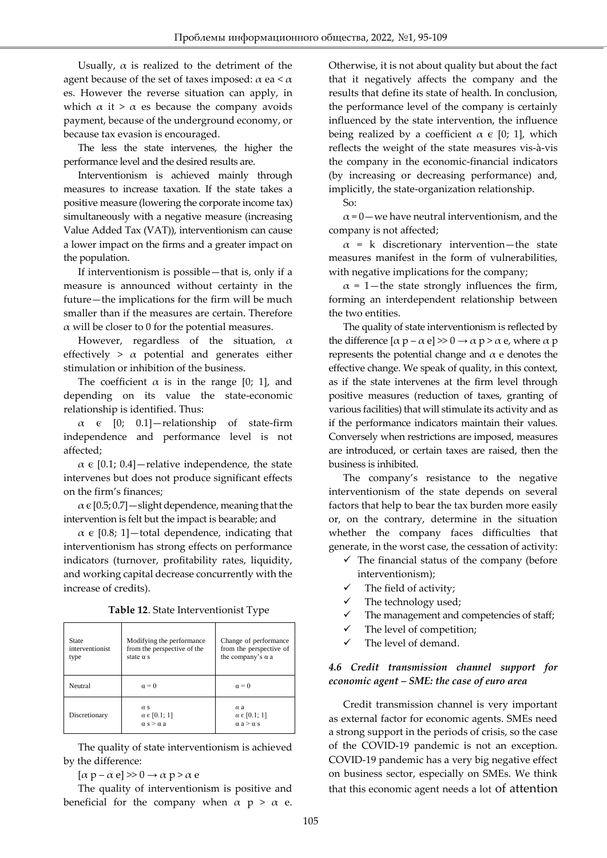Usually,  $\alpha$  is realized to the detriment of the agent because of the set of taxes imposed:  $\alpha$  ea <  $\alpha$ es. However the reverse situation can apply, in which  $\alpha$  it >  $\alpha$  es because the company avoids payment, because of the underground economy, or because tax evasion is encouraged.

The less the state intervenes, the higher the performance level and the desired results are.

Interventionism is achieved mainly through measures to increase taxation. If the state takes a positive measure (lowering the corporate income tax) simultaneously with a negative measure (increasing Value Added Tax (VAT)), interventionism can cause a lower impact on the firms and a greater impact on the population.

If interventionism is possible—that is, only if a measure is announced without certainty in the future—the implications for the firm will be much smaller than if the measures are certain. Therefore  $\alpha$  will be closer to 0 for the potential measures.

However, regardless of the situation,  $\alpha$ effectively  $> \alpha$  potential and generates either stimulation or inhibition of the business.

The coefficient  $\alpha$  is in the range [0; 1], and depending on its value the state-economic relationship is identified. Thus:

 $\alpha$   $\in$  [0; 0.1] - relationship of state-firm independence and performance level is not affected;

 $\alpha \in [0.1; 0.4]$  - relative independence, the state intervenes but does not produce significant effects on the firm's finances;

 $\alpha \in [0.5; 0.7]$  — slight dependence, meaning that the intervention is felt but the impact is bearable; and

 $\alpha \in [0.8; 1]$  -total dependence, indicating that interventionism has strong effects on performance indicators (turnover, profitability rates, liquidity, and working capital decrease concurrently with the increase of credits).

|  | Table 12. State Interventionist Type |  |
|--|--------------------------------------|--|
|--|--------------------------------------|--|

| State<br>interventionist<br>type | Modifying the performance<br>from the perspective of the<br>state $\alpha$ s | Change of performance<br>from the perspective of<br>the company's $\alpha$ a |  |  |
|----------------------------------|------------------------------------------------------------------------------|------------------------------------------------------------------------------|--|--|
| Neutral                          | $\alpha = 0$                                                                 | $\alpha = 0$                                                                 |  |  |
| Discretionary                    | $\alpha$ s<br>$\alpha \in [0.1; 1]$<br>$\alpha$ s $>$ $\alpha$ a             | $\alpha$ a<br>$\alpha \in [0.1; 1]$<br>$\alpha$ a > $\alpha$ s               |  |  |

The quality of state interventionism is achieved by the difference:

 $[\alpha p - \alpha e] \gg 0 \rightarrow \alpha p > \alpha e$ 

The quality of interventionism is positive and beneficial for the company when  $\alpha$  p >  $\alpha$  e.

Otherwise, it is not about quality but about the fact that it negatively affects the company and the results that define its state of health. In conclusion, the performance level of the company is certainly influenced by the state intervention, the influence being realized by a coefficient  $\alpha \in [0; 1]$ , which reflects the weight of the state measures vis-à-vis the company in the economic-financial indicators (by increasing or decreasing performance) and, implicitly, the state-organization relationship.

So:

 $\alpha$  = 0 — we have neutral interventionism, and the company is not affected;

 $\alpha$  = k discretionary intervention—the state measures manifest in the form of vulnerabilities, with negative implications for the company;

 $\alpha$  = 1—the state strongly influences the firm, forming an interdependent relationship between the two entities.

The quality of state interventionism is reflected by the difference  $[\alpha p - \alpha e] \gg 0 \rightarrow \alpha p > \alpha e$ , where  $\alpha p$ represents the potential change and  $\alpha$  e denotes the effective change. We speak of quality, in this context, as if the state intervenes at the firm level through positive measures (reduction of taxes, granting of various facilities) that will stimulate its activity and as if the performance indicators maintain their values. Conversely when restrictions are imposed, measures are introduced, or certain taxes are raised, then the business is inhibited.

The company's resistance to the negative interventionism of the state depends on several factors that help to bear the tax burden more easily or, on the contrary, determine in the situation whether the company faces difficulties that generate, in the worst case, the cessation of activity:

- $\checkmark$  The financial status of the company (before interventionism);
- $\checkmark$  The field of activity;
- $\checkmark$  The technology used;
- $\checkmark$  The management and competencies of staff;
- The level of competition;
- $\checkmark$  The level of demand.

#### *4.6 Credit transmission channel support for economic agent – SME: the case of euro area*

Credit transmission channel is very important as external factor for economic agents. SMEs need a strong support in the periods of crisis, so the case of the COVID-19 pandemic is not an exception. COVID-19 pandemic has a very big negative effect on business sector, especially on SMEs. We think that this economic agent needs a lot of attention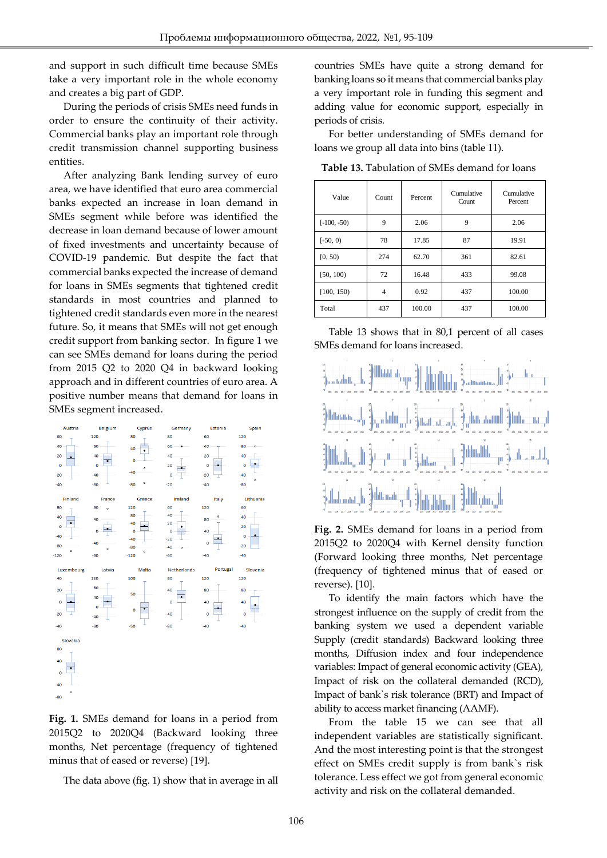and support in such difficult time because SMEs take a very important role in the whole economy and creates a big part of GDP.

During the periods of crisis SMEs need funds in order to ensure the continuity of their activity. Commercial banks play an important role through credit transmission channel supporting business entities.

After analyzing Bank lending survey of euro area, we have identified that euro area commercial banks expected an increase in loan demand in SMEs segment while before was identified the decrease in loan demand because of lower amount of fixed investments and uncertainty because of COVID-19 pandemic. But despite the fact that commercial banks expected the increase of demand for loans in SMEs segments that tightened credit standards in most countries and planned to tightened credit standards even more in the nearest future. So, it means that SMEs will not get enough credit support from banking sector. In figure 1 we can see SMEs demand for loans during the period from 2015 Q2 to 2020 Q4 in backward looking approach and in different countries of euro area. A positive number means that demand for loans in SMEs segment increased.



**Fig. 1.** SMEs demand for loans in a period from 2015Q2 to 2020Q4 (Backward looking three months, Net percentage (frequency of tightened minus that of eased or reverse) [19].

The data above (fig. 1) show that in average in all

countries SMEs have quite a strong demand for banking loans so it means that commercial banks play a very important role in funding this segment and adding value for economic support, especially in periods of crisis.

For better understanding of SMEs demand for loans we group all data into bins (table 11).

| Value         | Count | Percent | Cumulative<br>Count | Cumulative<br>Percent |
|---------------|-------|---------|---------------------|-----------------------|
| $[-100, -50)$ | 9     | 2.06    | 9                   | 2.06                  |
| $[-50, 0)$    | 78    | 17.85   | 87                  | 19.91                 |
| [0, 50)       | 274   | 62.70   | 361                 | 82.61                 |
| [50, 100)     | 72    | 16.48   | 433                 | 99.08                 |
| [100, 150)    | 4     | 0.92    | 437                 | 100.00                |
| Total         | 437   | 100.00  | 437                 | 100.00                |

**Table 13.** Tabulation of SMEs demand for loans

Table 13 shows that in 80,1 percent of all cases SMEs demand for loans increased.



**Fig. 2.** SMEs demand for loans in a period from 2015Q2 to 2020Q4 with Kernel density function (Forward looking three months, Net percentage (frequency of tightened minus that of eased or reverse). [10].

To identify the main factors which have the strongest influence on the supply of credit from the banking system we used a dependent variable Supply (credit standards) Backward looking three months, Diffusion index and four independence variables: Impact of general economic activity (GEA), Impact of risk on the collateral demanded (RCD), Impact of bank`s risk tolerance (BRT) and Impact of ability to access market financing (AAMF).

From the table 15 we can see that all independent variables are statistically significant. And the most interesting point is that the strongest effect on SMEs credit supply is from bank`s risk tolerance. Less effect we got from general economic activity and risk on the collateral demanded.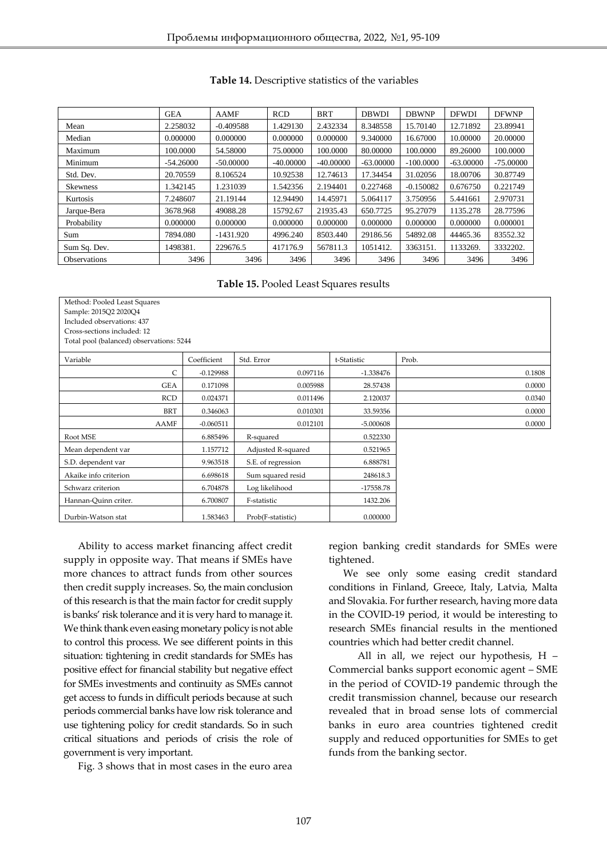|                     | <b>GEA</b>  | <b>AAMF</b> | <b>RCD</b>  | <b>BRT</b>  | <b>DBWDI</b> | <b>DBWNP</b> | <b>DFWDI</b> | <b>DFWNP</b> |
|---------------------|-------------|-------------|-------------|-------------|--------------|--------------|--------------|--------------|
| Mean                | 2.258032    | $-0.409588$ | 1.429130    | 2.432334    | 8.348558     | 15.70140     | 12.71892     | 23.89941     |
| Median              | 0.000000    | 0.000000    | 0.000000    | 0.000000    | 9.340000     | 16.67000     | 10.00000     | 20,00000     |
| Maximum             | 100.0000    | 54.58000    | 75,00000    | 100,0000    | 80,00000     | 100,0000     | 89.26000     | 100.0000     |
| Minimum             | $-54.26000$ | $-50.00000$ | $-40.00000$ | $-40,00000$ | $-63,00000$  | $-100,0000$  | $-63,00000$  | $-75.00000$  |
| Std. Dev.           | 20.70559    | 8.106524    | 10.92538    | 12.74613    | 17.34454     | 31.02056     | 18.00706     | 30.87749     |
| <b>Skewness</b>     | 1.342145    | 1.231039    | 1.542356    | 2.194401    | 0.227468     | $-0.150082$  | 0.676750     | 0.221749     |
| Kurtosis            | 7.248607    | 21.19144    | 12.94490    | 14.45971    | 5.064117     | 3.750956     | 5.441661     | 2.970731     |
| Jarque-Bera         | 3678.968    | 49088.28    | 15792.67    | 21935.43    | 650.7725     | 95.27079     | 1135.278     | 28.77596     |
| Probability         | 0.000000    | 0.000000    | 0.000000    | 0.000000    | 0.000000     | 0.000000     | 0.000000     | 0.000001     |
| Sum                 | 7894.080    | $-1431.920$ | 4996.240    | 8503.440    | 29186.56     | 54892.08     | 44465.36     | 83552.32     |
| Sum Sq. Dev.        | 1498381.    | 229676.5    | 417176.9    | 567811.3    | 1051412.     | 3363151.     | 1133269.     | 3332202.     |
| <b>Observations</b> | 3496        | 3496        | 3496        | 3496        | 3496         | 3496         | 3496         | 3496         |

**Table 15.** Pooled Least Squares results

| Method: Pooled Least Squares             |             |                    |             |        |
|------------------------------------------|-------------|--------------------|-------------|--------|
| Sample: 2015Q2 2020Q4                    |             |                    |             |        |
| Included observations: 437               |             |                    |             |        |
| Cross-sections included: 12              |             |                    |             |        |
| Total pool (balanced) observations: 5244 |             |                    |             |        |
| Variable                                 | Coefficient | Std. Error         | t-Statistic | Prob.  |
| C                                        | $-0.129988$ | 0.097116           | $-1.338476$ | 0.1808 |
| <b>GEA</b>                               | 0.171098    | 0.005988           | 28.57438    | 0.0000 |
| <b>RCD</b>                               | 0.024371    | 0.011496           | 2.120037    | 0.0340 |
| <b>BRT</b>                               | 0.346063    | 0.010301           | 33.59356    | 0.0000 |
| <b>AAMF</b>                              | $-0.060511$ | 0.012101           | $-5.000608$ | 0.0000 |
| Root MSE                                 | 6.885496    | R-squared          | 0.522330    |        |
| Mean dependent var                       | 1.157712    | Adjusted R-squared | 0.521965    |        |
| S.D. dependent var                       | 9.963518    | S.E. of regression | 6.888781    |        |
| Akaike info criterion                    | 6.698618    | Sum squared resid  | 248618.3    |        |
| Schwarz criterion                        | 6.704878    | Log likelihood     | $-17558.78$ |        |
| Hannan-Quinn criter.                     | 6.700807    | F-statistic        | 1432.206    |        |
| Durbin-Watson stat                       | 1.583463    | Prob(F-statistic)  | 0.000000    |        |

Ability to access market financing affect credit supply in opposite way. That means if SMEs have more chances to attract funds from other sources then credit supply increases. So, the main conclusion of this research is that the main factor for credit supply is banks' risk tolerance and it is very hard to manage it. We think thank even easing monetary policy is not able to control this process. We see different points in this situation: tightening in credit standards for SMEs has positive effect for financial stability but negative effect for SMEs investments and continuity as SMEs cannot get access to funds in difficult periods because at such periods commercial banks have low risk tolerance and use tightening policy for credit standards. So in such critical situations and periods of crisis the role of government is very important.

Fig. 3 shows that in most cases in the euro area

region banking credit standards for SMEs were tightened.

We see only some easing credit standard conditions in Finland, Greece, Italy, Latvia, Malta and Slovakia. For further research, having more data in the COVID-19 period, it would be interesting to research SMEs financial results in the mentioned countries which had better credit channel.

All in all, we reject our hypothesis, H – Commercial banks support economic agent – SME in the period of COVID-19 pandemic through the credit transmission channel, because our research revealed that in broad sense lots of commercial banks in euro area countries tightened credit supply and reduced opportunities for SMEs to get funds from the banking sector.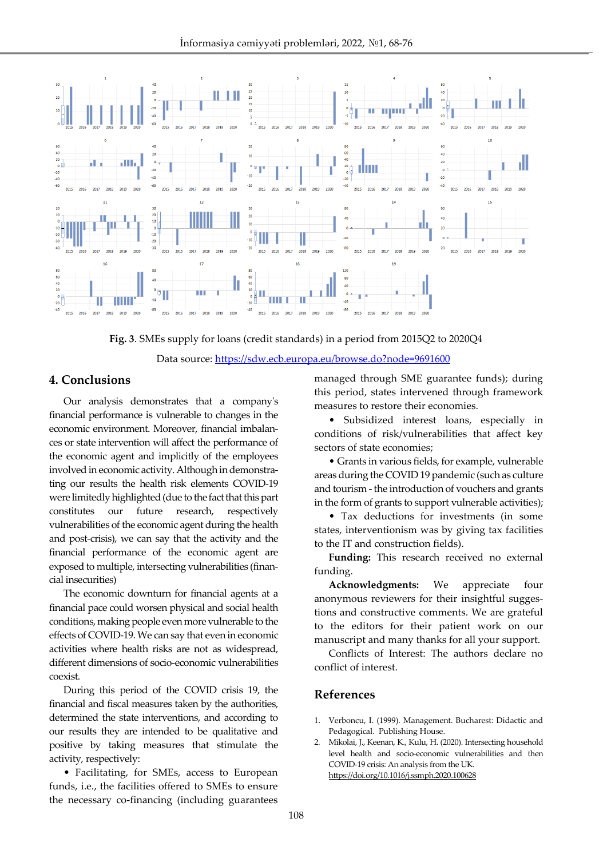

**Fig. 3**. SMEs supply for loans (credit standards) in a period from 2015Q2 to 2020Q4

Data source:<https://sdw.ecb.europa.eu/browse.do?node=9691600>

#### **4. Conclusions**

Our analysis demonstrates that a company's financial performance is vulnerable to changes in the economic environment. Moreover, financial imbalances or state intervention will affect the performance of the economic agent and implicitly of the employees involved in economic activity. Although in demonstrating our results the health risk elements COVID-19 were limitedly highlighted (due to the fact that this part constitutes our future research, respectively vulnerabilities of the economic agent during the health and post-crisis), we can say that the activity and the financial performance of the economic agent are exposed to multiple, intersecting vulnerabilities (financial insecurities)

The economic downturn for financial agents at a financial pace could worsen physical and social health conditions, making people even more vulnerable to the effects of COVID-19. We can say that even in economic activities where health risks are not as widespread, different dimensions of socio-economic vulnerabilities coexist.

During this period of the COVID crisis 19, the financial and fiscal measures taken by the authorities, determined the state interventions, and according to our results they are intended to be qualitative and positive by taking measures that stimulate the activity, respectively:

• Facilitating, for SMEs, access to European funds, i.e., the facilities offered to SMEs to ensure the necessary co-financing (including guarantees managed through SME guarantee funds); during this period, states intervened through framework measures to restore their economies.

• Subsidized interest loans, especially in conditions of risk/vulnerabilities that affect key sectors of state economies;

• Grants in various fields, for example, vulnerable areas during the COVID 19 pandemic (such as culture and tourism - the introduction of vouchers and grants in the form of grants to support vulnerable activities);

• Tax deductions for investments (in some states, interventionism was by giving tax facilities to the IT and construction fields).

**Funding:** This research received no external funding.

**Acknowledgments:** We appreciate four anonymous reviewers for their insightful suggestions and constructive comments. We are grateful to the editors for their patient work on our manuscript and many thanks for all your support.

Conflicts of Interest: The authors declare no conflict of interest.

#### **References**

- 1. Verboncu, I. (1999). Management. Bucharest: Didactic and Pedagogical. Publishing House.
- 2. Mikolai, J., Keenan, K., Kulu, H. (2020). Intersecting household level health and socio-economic vulnerabilities and then COVID-19 crisis: An analysis from the UK. <https://doi.org/10.1016/j.ssmph.2020.100628>